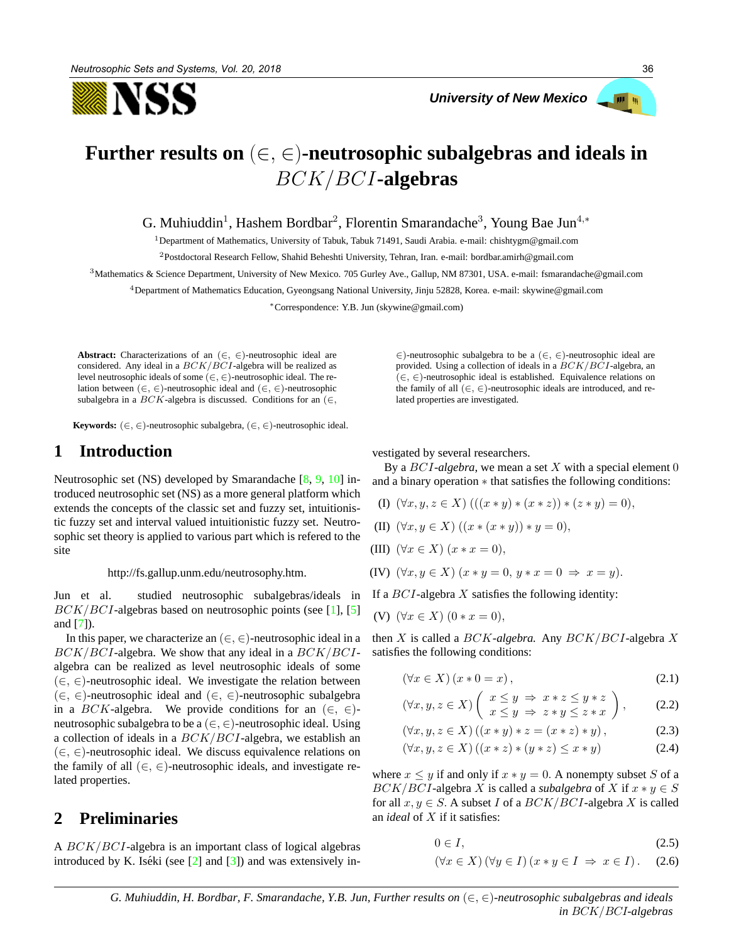NSS

*University of New Mexico* 



# **Further results on** (∈, ∈)**-neutrosophic subalgebras and ideals in** BCK/BCI**-algebras**

G. Muhiuddin<sup>1</sup>, Hashem Bordbar<sup>2</sup>, Florentin Smarandache<sup>3</sup>, Young Bae Jun<sup>4,\*</sup>

<sup>1</sup>Department of Mathematics, University of Tabuk, Tabuk 71491, Saudi Arabia. e-mail: chishtygm@gmail.com

<sup>2</sup>Postdoctoral Research Fellow, Shahid Beheshti University, Tehran, Iran. e-mail: bordbar.amirh@gmail.com

<sup>3</sup>Mathematics & Science Department, University of New Mexico. 705 Gurley Ave., Gallup, NM 87301, USA. e-mail: fsmarandache@gmail.com

<sup>4</sup>Department of Mathematics Education, Gyeongsang National University, Jinju 52828, Korea. e-mail: skywine@gmail.com

<sup>∗</sup>Correspondence: Y.B. Jun (skywine@gmail.com)

**Abstract:** Characterizations of an (∈, ∈)-neutrosophic ideal are considered. Any ideal in a  $BCK/BCI$ -algebra will be realized as level neutrosophic ideals of some  $(\in, \in)$ -neutrosophic ideal. The relation between (∈, ∈)-neutrosophic ideal and (∈, ∈)-neutrosophic subalgebra in a  $BCK$ -algebra is discussed. Conditions for an ( $\in$ ,

**Keywords:**  $(\in, \in)$ -neutrosophic subalgebra,  $(\in, \in)$ -neutrosophic ideal.

# **1 Introduction**

Neutrosophic set (NS) developed by Smarandache [8, 9, 10] introduced neutrosophic set (NS) as a more general platform which extends the concepts of the classic set and fuzzy set, intuitionistic fuzzy set and interval valued intuitionistic fuzzy set. Neutrosophic set theory is applied to various part which is refered to the site

http://fs.gallup.unm.edu/neutrosophy.htm.

Jun et al. studied neutrosophic subalgebras/ideals in  $BCK/BCI$ -algebras based on neutrosophic points (see [1], [5] and  $[7]$ ).

In this paper, we characterize an  $(\in, \in)$ -neutrosophic ideal in a  $BCK/BCI$ -algebra. We show that any ideal in a  $BCK/BCI$ algebra can be realized as level neutrosophic ideals of some  $(∈, ∈)$ -neutrosophic ideal. We investigate the relation between (∈, ∈)-neutrosophic ideal and (∈, ∈)-neutrosophic subalgebra in a  $BCK$ -algebra. We provide conditions for an  $(\in, \in)$ neutrosophic subalgebra to be a  $(\in, \in)$ -neutrosophic ideal. Using a collection of ideals in a  $BCK/BCI$ -algebra, we establish an (∈, ∈)-neutrosophic ideal. We discuss equivalence relations on the family of all  $(\in, \in)$ -neutrosophic ideals, and investigate related properties.

# **2 Preliminaries**

A BCK/BCI-algebra is an important class of logical algebras introduced by K. Iséki (see  $\lceil 2 \rceil$  and  $\lceil 3 \rceil$ ) and was extensively in∈)-neutrosophic subalgebra to be a (∈, ∈)-neutrosophic ideal are provided. Using a collection of ideals in a  $BCK/BCI$ -algebra, an (∈, ∈)-neutrosophic ideal is established. Equivalence relations on the family of all  $(\in, \in)$ -neutrosophic ideals are introduced, and related properties are investigated.

vestigated by several researchers.

By a BCI*-algebra*, we mean a set X with a special element 0 and a binary operation ∗ that satisfies the following conditions:

- (I)  $(\forall x, y, z \in X)$   $(((x * y) * (x * z)) * (z * y) = 0),$
- (II)  $(\forall x, y \in X) ((x * (x * y)) * y = 0),$
- (III)  $(\forall x \in X) (x * x = 0),$
- (IV)  $(\forall x, y \in X)$   $(x * y = 0, y * x = 0 \Rightarrow x = y)$ .

If a  $BCI$ -algebra X satisfies the following identity:

(V)  $(\forall x \in X) (0 * x = 0),$ 

then X is called a BCK*-algebra.* Any BCK/BCI-algebra X satisfies the following conditions:

$$
(\forall x \in X) (x * 0 = x), \tag{2.1}
$$

$$
(\forall x, y, z \in X) \left( \begin{array}{c} x \le y \implies x * z \le y * z \\ x \le y \implies z * y \le z * x \end{array} \right), \quad (2.2)
$$

$$
(\forall x, y, z \in X) ((x * y) * z = (x * z) * y), \tag{2.3}
$$

$$
(\forall x, y, z \in X) ((x * z) * (y * z) \le x * y)
$$
\n
$$
(2.4)
$$

where  $x \leq y$  if and only if  $x * y = 0$ . A nonempty subset S of a  $BCK/BCI$ -algebra X is called a *subalgebra* of X if  $x * y \in S$ for all  $x, y \in S$ . A subset I of a  $BCK/BCI$ -algebra X is called an *ideal* of X if it satisfies:

$$
0 \in I,\tag{2.5}
$$

$$
(\forall x \in X) (\forall y \in I) (x * y \in I \Rightarrow x \in I).
$$
 (2.6)

*G. Muhiuddin, H. Bordbar, F. Smarandache, Y.B. Jun, Further results on* (∈, ∈)*-neutrosophic subalgebras and ideals in* BCK/BCI*-algebras*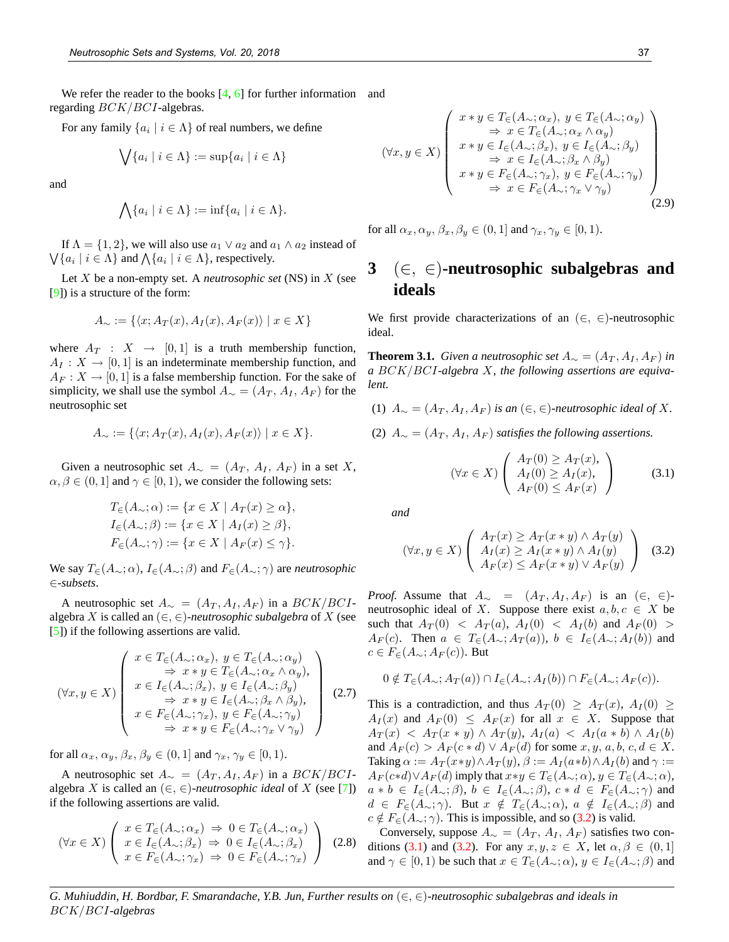We refer the reader to the books  $[4, 6]$  for further information and regarding BCK/BCI-algebras.

For any family  $\{a_i \mid i \in \Lambda\}$  of real numbers, we define

$$
\bigvee \{a_i \mid i \in \Lambda\} := \sup \{a_i \mid i \in \Lambda\}
$$

and

$$
\bigwedge \{a_i \mid i \in \Lambda\} := \inf \{a_i \mid i \in \Lambda\}.
$$

If  $\Lambda = \{1, 2\}$ , we will also use  $a_1 \vee a_2$  and  $a_1 \wedge a_2$  instead of  $\bigvee \{a_i \mid i \in \Lambda\}$  and  $\bigwedge \{a_i \mid i \in \Lambda\}$ , respectively.

Let X be a non-empty set. A *neutrosophic set* (NS) in X (see [9]) is a structure of the form:

$$
A_{\sim} := \{ \langle x; A_T(x), A_I(x), A_F(x) \rangle \mid x \in X \}
$$

where  $A_T : X \rightarrow [0,1]$  is a truth membership function,  $A_I: X \to [0,1]$  is an indeterminate membership function, and  $A_F: X \to [0,1]$  is a false membership function. For the sake of simplicity, we shall use the symbol  $A_{\sim} = (A_T, A_I, A_F)$  for the neutrosophic set

$$
A_{\sim} := \{ \langle x; A_T(x), A_I(x), A_F(x) \rangle \mid x \in X \}.
$$

Given a neutrosophic set  $A_{\sim} = (A_T, A_I, A_F)$  in a set X,  $\alpha, \beta \in (0, 1]$  and  $\gamma \in [0, 1)$ , we consider the following sets:

$$
T_{\in}(A_{\sim}; \alpha) := \{x \in X \mid A_T(x) \ge \alpha\},
$$
  
\n
$$
I_{\in}(A_{\sim}; \beta) := \{x \in X \mid A_T(x) \ge \beta\},
$$
  
\n
$$
F_{\in}(A_{\sim}; \gamma) := \{x \in X \mid A_F(x) \le \gamma\}.
$$

We say  $T_{\in}(A_{\sim}; \alpha)$ ,  $I_{\in}(A_{\sim}; \beta)$  and  $F_{\in}(A_{\sim}; \gamma)$  are *neutrosophic* ∈*-subsets*.

A neutrosophic set  $A_{\sim} = (A_T, A_I, A_F)$  in a  $BCK/BCI$ algebra X is called an  $(\in, \in)$ -neutrosophic subalgebra of X (see [5]) if the following assertions are valid.

$$
(\forall x, y \in X) \left( \begin{array}{c} x \in T_{\in}(A_{\sim}; \alpha_{x}), y \in T_{\in}(A_{\sim}; \alpha_{y}) \\ \Rightarrow x * y \in T_{\in}(A_{\sim}; \alpha_{x} \wedge \alpha_{y}), \\ x \in I_{\in}(A_{\sim}; \beta_{x}), y \in I_{\in}(A_{\sim}; \beta_{y}) \\ \Rightarrow x * y \in I_{\in}(A_{\sim}; \beta_{x} \wedge \beta_{y}), \\ x \in F_{\in}(A_{\sim}; \gamma_{x}), y \in F_{\in}(A_{\sim}; \gamma_{y}) \\ \Rightarrow x * y \in F_{\in}(A_{\sim}; \gamma_{x} \vee \gamma_{y}) \end{array} \right) (2.7)
$$

for all  $\alpha_x, \alpha_y, \beta_x, \beta_y \in (0, 1]$  and  $\gamma_x, \gamma_y \in [0, 1)$ .

A neutrosophic set  $A_{\sim} = (A_T, A_I, A_F)$  in a  $BCK/BCI$ algebra X is called an  $(\in, \in)$ *-neutrosophic ideal* of X (see [7]) if the following assertions are valid.

$$
(\forall x \in X) \left( \begin{array}{l} x \in T_{\in}(A_{\sim}; \alpha_{x}) \implies 0 \in T_{\in}(A_{\sim}; \alpha_{x}) \\ x \in I_{\in}(A_{\sim}; \beta_{x}) \implies 0 \in I_{\in}(A_{\sim}; \beta_{x}) \\ x \in F_{\in}(A_{\sim}; \gamma_{x}) \implies 0 \in F_{\in}(A_{\sim}; \gamma_{x}) \end{array} \right) \tag{2.8}
$$

$$
(\forall x, y \in X) \left( \begin{array}{c} x * y \in T_{\in}(A_{\sim}; \alpha_x), y \in T_{\in}(A_{\sim}; \alpha_y) \\ \Rightarrow x \in T_{\in}(A_{\sim}; \alpha_x \wedge \alpha_y) \\ x * y \in I_{\in}(A_{\sim}; \beta_x), y \in I_{\in}(A_{\sim}; \beta_y) \\ \Rightarrow x \in I_{\in}(A_{\sim}; \beta_x \wedge \beta_y) \\ x * y \in F_{\in}(A_{\sim}; \gamma_x), y \in F_{\in}(A_{\sim}; \gamma_y) \\ \Rightarrow x \in F_{\in}(A_{\sim}; \gamma_x \vee \gamma_y) \end{array} \right) (2.9)
$$

for all  $\alpha_x, \alpha_y, \beta_x, \beta_y \in (0, 1]$  and  $\gamma_x, \gamma_y \in [0, 1)$ .

# **3** (∈, ∈)**-neutrosophic subalgebras and ideals**

We first provide characterizations of an  $(\in, \in)$ -neutrosophic ideal.

**Theorem 3.1.** *Given a neutrosophic set*  $A_{\sim} = (A_T, A_I, A_F)$  *in a* BCK/BCI*-algebra* X*, the following assertions are equivalent.*

(1)  $A_{\sim} = (A_T, A_I, A_F)$  *is an* (∈, ∈)-*neutrosophic ideal of* X.

(2)  $A_{\sim} = (A_T, A_I, A_F)$  *satisfies the following assertions.* 

$$
(\forall x \in X) \left( \begin{array}{c} A_T(0) \ge A_T(x), \\ A_I(0) \ge A_I(x), \\ A_F(0) \le A_F(x) \end{array} \right) \tag{3.1}
$$

*and*

$$
(\forall x, y \in X) \left( \begin{array}{c} A_T(x) \ge A_T(x * y) \land A_T(y) \\ A_I(x) \ge A_I(x * y) \land A_I(y) \\ A_F(x) \le A_F(x * y) \lor A_F(y) \end{array} \right) \quad (3.2)
$$

*Proof.* Assume that  $A_{\sim} = (A_T, A_I, A_F)$  is an  $(\in, \in)$ neutrosophic ideal of X. Suppose there exist  $a, b, c \in X$  be such that  $A_T(0) < A_T(a), A_T(0) < A_T(b)$  and  $A_F(0) >$  $A_F(c)$ . Then  $a \in T_{\in}(A_{\sim}; A_T(a))$ ,  $b \in I_{\in}(A_{\sim}; A_T(b))$  and  $c \in F_{\in}(A_{\sim}; A_F(c))$ . But

$$
0 \notin T_{\in}(A_{\sim}; A_T(a)) \cap I_{\in}(A_{\sim}; A_I(b)) \cap F_{\in}(A_{\sim}; A_F(c)).
$$

This is a contradiction, and thus  $A_T(0) \geq A_T(x)$ ,  $A_T(0) \geq$  $A_I(x)$  and  $A_F(0) \leq A_F(x)$  for all  $x \in X$ . Suppose that  $A_T(x) < A_T(x * y) \wedge A_T(y), A_I(a) < A_I(a * b) \wedge A_I(b)$ and  $A_F(c) > A_F(c*d) \vee A_F(d)$  for some  $x, y, a, b, c, d \in X$ . Taking  $\alpha := A_T(x*y) \wedge A_T(y), \beta := A_I(a*b) \wedge A_I(b)$  and  $\gamma :=$  $A_F(c*d) \vee A_F(d)$  imply that  $x*y \in T_\in (A_\sim;\alpha), y \in T_\in (A_\sim;\alpha),$  $a * b \in I_{\in}(A_{\sim}; \beta), b \in I_{\in}(A_{\sim}; \beta), c * d \in F_{\in}(A_{\sim}; \gamma)$  and  $d \in F_{\in}(A_{\sim}; \gamma)$ . But  $x \notin T_{\in}(A_{\sim}; \alpha)$ ,  $a \notin I_{\in}(A_{\sim}; \beta)$  and  $c \notin F_{\in}(A_{\sim}; \gamma)$ . This is impossible, and so (3.2) is valid.

Conversely, suppose  $A_{\sim} = (A_T, A_I, A_F)$  satisfies two conditions (3.1) and (3.2). For any  $x, y, z \in X$ , let  $\alpha, \beta \in (0, 1]$ and  $\gamma \in [0, 1)$  be such that  $x \in T_{\infty}(A_{\sim}; \alpha)$ ,  $y \in I_{\infty}(A_{\sim}; \beta)$  and

*G. Muhiuddin, H. Bordbar, F. Smarandache, Y.B. Jun, Further results on* (∈, ∈)*-neutrosophic subalgebras and ideals in* BCK/BCI*-algebras*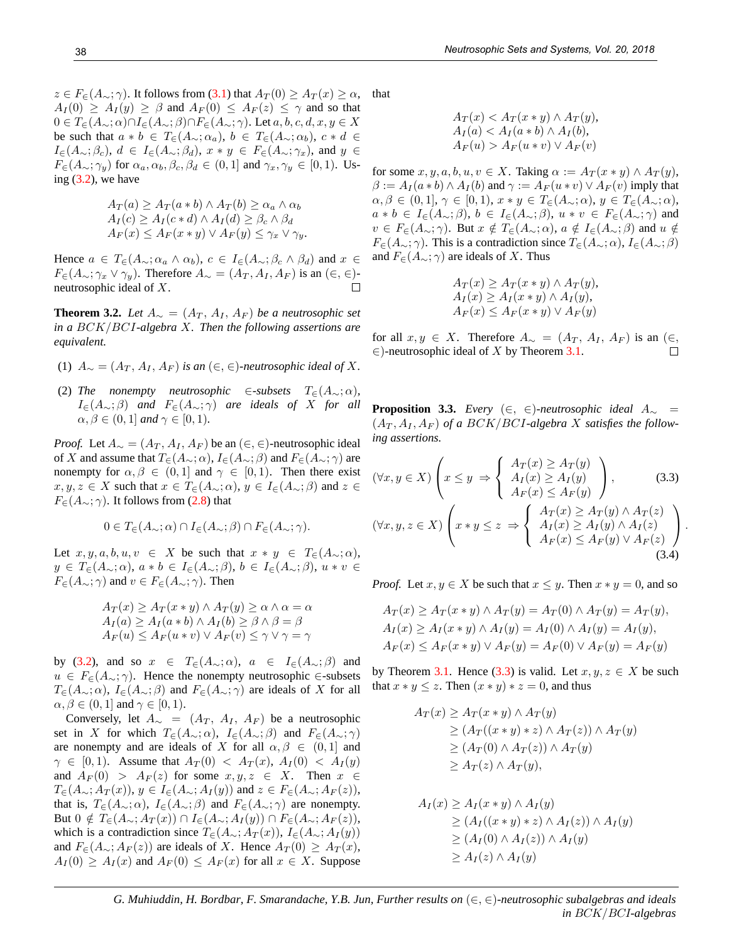$z \in F_{\epsilon}(A_{\sim}; \gamma)$ . It follows from (3.1) that  $A_T(0) \geq A_T(x) \geq \alpha$ ,  $A_I(0) \ge A_I(y) \ge \beta$  and  $A_F(0) \le A_F(z) \le \gamma$  and so that  $0 \in T_{\in}(A_{\sim};\alpha) \cap I_{\in}(A_{\sim};\beta) \cap F_{\in}(A_{\sim};\gamma)$ . Let  $a, b, c, d, x, y \in X$ be such that  $a * b \in T_{\epsilon}(A_{\sim}; \alpha_a), b \in T_{\epsilon}(A_{\sim}; \alpha_b), c * d \in$  $I_{\in}(A_{\sim};\beta_c), d \in I_{\in}(A_{\sim};\beta_d), x \ast y \in F_{\in}(A_{\sim};\gamma_x),$  and  $y \in$  $F_{\in}(A_{\sim}; \gamma_y)$  for  $\alpha_a, \alpha_b, \beta_c, \beta_d \in (0, 1]$  and  $\gamma_x, \gamma_y \in [0, 1]$ . Using  $(3.2)$ , we have

$$
A_T(a) \ge A_T(a * b) \land A_T(b) \ge \alpha_a \land \alpha_b
$$
  
\n
$$
A_I(c) \ge A_I(c*d) \land A_I(d) \ge \beta_c \land \beta_d
$$
  
\n
$$
A_F(x) \le A_F(x * y) \lor A_F(y) \le \gamma_x \lor \gamma_y.
$$

Hence  $a \in T_{\in}(A_{\sim}; \alpha_a \wedge \alpha_b), c \in I_{\in}(A_{\sim}; \beta_c \wedge \beta_d)$  and  $x \in$  $F_{\in}(A_{\sim}; \gamma_x \vee \gamma_y)$ . Therefore  $A_{\sim} = (A_T, A_I, A_F)$  is an  $(\in, \in)$ neutrosophic ideal of X.  $\Box$ 

**Theorem 3.2.** *Let*  $A_{\sim} = (A_T, A_I, A_F)$  *be a neutrosophic set in a* BCK/BCI*-algebra* X*. Then the following assertions are equivalent.*

- (1)  $A_{\sim} = (A_T, A_I, A_F)$  *is an*  $(\in, \in)$ -neutrosophic ideal of X.
- (2) The nonempty neutrosophic ∈-subsets  $T<sub>∈</sub>(A<sub>∞</sub>; \alpha)$ ,  $I_{\infty}(A_{\sim};\beta)$  *and*  $F_{\infty}(A_{\sim};\gamma)$  *are ideals of X for all*  $\alpha, \beta \in (0, 1]$  *and*  $\gamma \in [0, 1]$ *.*

*Proof.* Let  $A_{\sim} = (A_T, A_I, A_F)$  be an  $(\in, \in)$ -neutrosophic ideal of X and assume that  $T_{\in}(A_{\sim}; \alpha)$ ,  $I_{\in}(A_{\sim}; \beta)$  and  $F_{\in}(A_{\sim}; \gamma)$  are nonempty for  $\alpha, \beta \in (0, 1]$  and  $\gamma \in [0, 1]$ . Then there exist  $x, y, z \in X$  such that  $x \in T_{\infty}(A_{\sim}; \alpha), y \in I_{\infty}(A_{\sim}; \beta)$  and  $z \in$  $F_{\in}(A_{\sim};\gamma)$ . It follows from (2.8) that

$$
0 \in T_{\in}(A_{\sim}; \alpha) \cap I_{\in}(A_{\sim}; \beta) \cap F_{\in}(A_{\sim}; \gamma).
$$

Let  $x, y, a, b, u, v \in X$  be such that  $x * y \in T_{\epsilon}(A_{\sim}; \alpha)$ ,  $y \in T_{\in}(A_{\sim};\alpha), a * b \in I_{\in}(A_{\sim};\beta), b \in I_{\in}(A_{\sim};\beta), u * v \in$  $F_{\in}(A_{\sim};\gamma)$  and  $v \in F_{\in}(A_{\sim};\gamma)$ . Then

$$
A_T(x) \ge A_T(x * y) \land A_T(y) \ge \alpha \land \alpha = \alpha
$$
  
\n
$$
A_T(a) \ge A_T(a * b) \land A_T(b) \ge \beta \land \beta = \beta
$$
  
\n
$$
A_F(u) \le A_F(u * v) \lor A_F(v) \le \gamma \lor \gamma = \gamma
$$

by (3.2), and so  $x \in T_{\in}(A_{\sim}; \alpha)$ ,  $a \in I_{\in}(A_{\sim}; \beta)$  and  $u \in F_{\epsilon}(A_{\sim}; \gamma)$ . Hence the nonempty neutrosophic ∈-subsets  $T_{\in}(A_{\sim};\alpha)$ ,  $I_{\in}(A_{\sim};\beta)$  and  $F_{\in}(A_{\sim};\gamma)$  are ideals of X for all  $\alpha, \beta \in (0, 1]$  and  $\gamma \in [0, 1]$ .

Conversely, let  $A_{\sim} = (A_T, A_I, A_F)$  be a neutrosophic set in X for which  $T_{\epsilon}(A_{\sim}; \alpha)$ ,  $I_{\epsilon}(A_{\sim}; \beta)$  and  $F_{\epsilon}(A_{\sim}; \gamma)$ are nonempty and are ideals of X for all  $\alpha, \beta \in (0, 1]$  and  $\gamma \in [0,1)$ . Assume that  $A_T(0) < A_T(x)$ ,  $A_T(0) < A_T(y)$ and  $A_F(0) > A_F(z)$  for some  $x, y, z \in X$ . Then  $x \in$  $T_{\in}(A_{\sim}; A_T(x)), y \in I_{\in}(A_{\sim}; A_T(y))$  and  $z \in F_{\in}(A_{\sim}; A_F(z)),$ that is,  $T_{\in}(A_{\sim}; \alpha)$ ,  $I_{\in}(A_{\sim}; \beta)$  and  $F_{\in}(A_{\sim}; \gamma)$  are nonempty. But  $0 \notin T_{\in}(A_{\sim}; A_T(x)) \cap I_{\in}(A_{\sim}; A_T(y)) \cap F_{\in}(A_{\sim}; A_F(z)),$ which is a contradiction since  $T_{\epsilon}(A_{\sim}; A_T(x)), I_{\epsilon}(A_{\sim}; A_T(y))$ and  $F_{\in}(A_{\sim}; A_F(z))$  are ideals of X. Hence  $A_T(0) \geq A_T(x)$ ,  $A_I(0) \ge A_I(x)$  and  $A_F(0) \le A_F(x)$  for all  $x \in X$ . Suppose that

$$
A_T(x) < A_T(x \ast y) \land A_T(y),
$$
\n
$$
A_I(a) < A_I(a \ast b) \land A_I(b),
$$
\n
$$
A_F(u) > A_F(u \ast v) \lor A_F(v)
$$

for some  $x, y, a, b, u, v \in X$ . Taking  $\alpha := A_T(x * y) \wedge A_T(y)$ ,  $\beta := A_I(a * b) \wedge A_I(b)$  and  $\gamma := A_F(u * v) \vee A_F(v)$  imply that  $\alpha, \beta \in (0,1], \gamma \in [0,1], x \ast y \in T_{\epsilon}(A_{\sim}; \alpha), y \in T_{\epsilon}(A_{\sim}; \alpha),$  $a * b \in I_{\in}(A_{\sim}; \beta), b \in I_{\in}(A_{\sim}; \beta), u * v \in F_{\in}(A_{\sim}; \gamma)$  and  $v \in F_{\in}(A_{\sim}; \gamma)$ . But  $x \notin T_{\in}(A_{\sim}; \alpha)$ ,  $a \notin I_{\in}(A_{\sim}; \beta)$  and  $u \notin$  $F_{\epsilon}(A_{\sim};\gamma)$ . This is a contradiction since  $T_{\epsilon}(A_{\sim};\alpha)$ ,  $I_{\epsilon}(A_{\sim};\beta)$ and  $F_{\in}(A_{\sim}; \gamma)$  are ideals of X. Thus

$$
A_T(x) \ge A_T(x * y) \wedge A_T(y),
$$
  
\n
$$
A_I(x) \ge A_I(x * y) \wedge A_I(y),
$$
  
\n
$$
A_F(x) \le A_F(x * y) \vee A_F(y)
$$

for all  $x, y \in X$ . Therefore  $A_{\sim} = (A_T, A_I, A_F)$  is an  $(\in,$  $\in$ )-neutrosophic ideal of X by Theorem 3.1.  $\Box$ 

**Proposition 3.3.** *Every* (∈, ∈)-neutrosophic ideal  $A_{\sim}$  =  $(A_T, A_I, A_F)$  *of a BCK/BCI-algebra X satisfies the following assertions.*

$$
(\forall x, y \in X) \left( x \le y \implies \begin{cases} A_T(x) \ge A_T(y) \\ A_I(x) \ge A_I(y) \\ A_F(x) \le A_F(y) \end{cases} \right), \quad (3.3)
$$
  

$$
(\forall x, y, z \in X) \left( x * y \le z \implies \begin{cases} A_T(x) \ge A_T(y) \land A_T(z) \\ A_I(x) \ge A_I(y) \land A_I(z) \\ A_F(x) \le A_F(y) \lor A_F(z) \end{cases} \right).
$$
  

$$
(3.4)
$$

*Proof.* Let  $x, y \in X$  be such that  $x \leq y$ . Then  $x * y = 0$ , and so

$$
A_T(x) \ge A_T(x * y) \wedge A_T(y) = A_T(0) \wedge A_T(y) = A_T(y),
$$
  
\n
$$
A_I(x) \ge A_I(x * y) \wedge A_I(y) = A_I(0) \wedge A_I(y) = A_I(y),
$$
  
\n
$$
A_F(x) \le A_F(x * y) \vee A_F(y) = A_F(0) \vee A_F(y) = A_F(y)
$$

by Theorem 3.1. Hence (3.3) is valid. Let  $x, y, z \in X$  be such that  $x * y \leq z$ . Then  $(x * y) * z = 0$ , and thus

$$
A_T(x) \ge A_T(x * y) \wedge A_T(y)
$$
  
\n
$$
\ge (A_T((x * y) * z) \wedge A_T(z)) \wedge A_T(y)
$$
  
\n
$$
\ge (A_T(0) \wedge A_T(z)) \wedge A_T(y)
$$
  
\n
$$
\ge A_T(z) \wedge A_T(y),
$$

$$
A_I(x) \ge A_I(x * y) \wedge A_I(y)
$$
  
\n
$$
\ge (A_I((x * y) * z) \wedge A_I(z)) \wedge A_I(y)
$$
  
\n
$$
\ge (A_I(0) \wedge A_I(z)) \wedge A_I(y)
$$
  
\n
$$
\ge A_I(z) \wedge A_I(y)
$$

*G. Muhiuddin, H. Bordbar, F. Smarandache, Y.B. Jun, Further results on* (∈, ∈)*-neutrosophic subalgebras and ideals in* BCK/BCI*-algebras*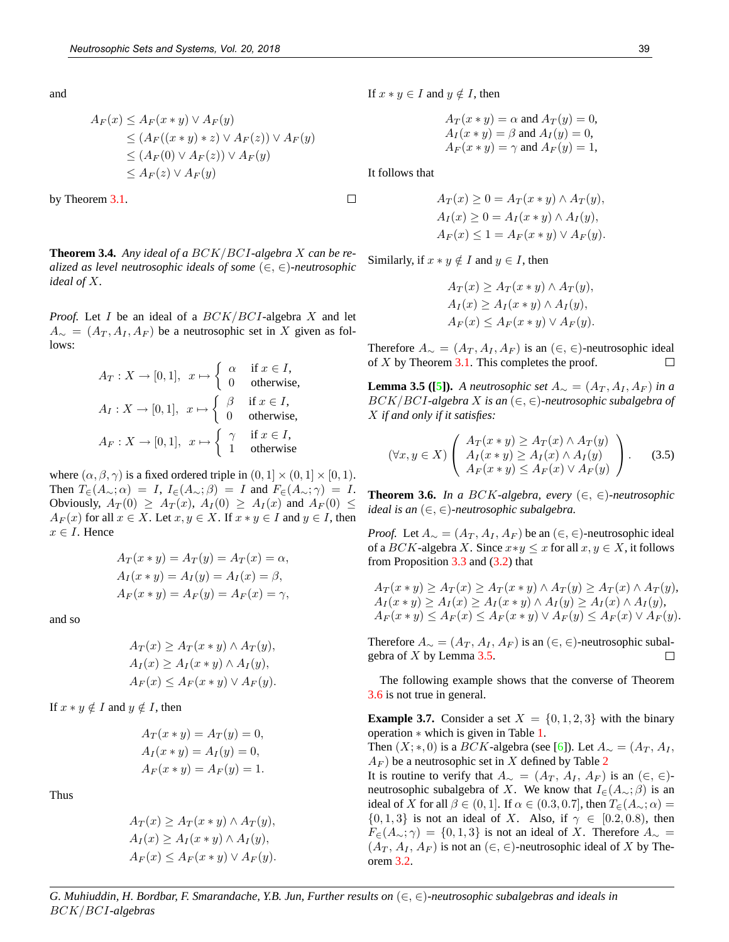and

$$
A_F(x) \le A_F(x * y) \vee A_F(y)
$$
  
\n
$$
\le (A_F((x * y) * z) \vee A_F(z)) \vee A_F(y)
$$
  
\n
$$
\le (A_F(0) \vee A_F(z)) \vee A_F(y)
$$
  
\n
$$
\le A_F(z) \vee A_F(y)
$$

by Theorem 3.1.

**Theorem 3.4.** *Any ideal of a* BCK/BCI*-algebra* X *can be realized as level neutrosophic ideals of some* (∈, ∈)*-neutrosophic ideal of* X*.*

*Proof.* Let I be an ideal of a  $BCK/BCI$ -algebra X and let  $A_{\sim} = (A_T, A_I, A_F)$  be a neutrosophic set in X given as follows:

$$
A_T: X \to [0, 1], \quad x \mapsto \begin{cases} \alpha & \text{if } x \in I, \\ 0 & \text{otherwise,} \end{cases}
$$

$$
A_I: X \to [0, 1], \quad x \mapsto \begin{cases} \beta & \text{if } x \in I, \\ 0 & \text{otherwise,} \end{cases}
$$

$$
A_F: X \to [0, 1], \quad x \mapsto \begin{cases} \gamma & \text{if } x \in I, \\ 1 & \text{otherwise.} \end{cases}
$$

where  $(\alpha, \beta, \gamma)$  is a fixed ordered triple in  $(0, 1] \times (0, 1] \times [0, 1)$ . Then  $T_{\epsilon}(A_{\sim};\alpha) = I$ ,  $I_{\epsilon}(A_{\sim};\beta) = I$  and  $F_{\epsilon}(A_{\sim};\gamma) = I$ . Obviously,  $A_T(0) \geq A_T(x)$ ,  $A_I(0) \geq A_I(x)$  and  $A_F(0) \leq$  $A_F(x)$  for all  $x \in X$ . Let  $x, y \in X$ . If  $x * y \in I$  and  $y \in I$ , then  $x \in I$ . Hence

$$
A_T(x * y) = A_T(y) = A_T(x) = \alpha,
$$
  
\n
$$
A_I(x * y) = A_I(y) = A_I(x) = \beta,
$$
  
\n
$$
A_F(x * y) = A_F(y) = A_F(x) = \gamma,
$$

and so

$$
A_T(x) \ge A_T(x * y) \wedge A_T(y),
$$
  
\n
$$
A_I(x) \ge A_I(x * y) \wedge A_I(y),
$$
  
\n
$$
A_F(x) \le A_F(x * y) \vee A_F(y).
$$

If  $x * y \notin I$  and  $y \notin I$ , then

$$
A_T(x * y) = A_T(y) = 0,
$$
  
\n
$$
A_I(x * y) = A_I(y) = 0,
$$
  
\n
$$
A_F(x * y) = A_F(y) = 1.
$$

Thus

$$
A_T(x) \ge A_T(x * y) \wedge A_T(y),
$$
  
\n
$$
A_I(x) \ge A_I(x * y) \wedge A_I(y),
$$
  
\n
$$
A_F(x) \le A_F(x * y) \vee A_F(y).
$$

If  $x * y \in I$  and  $y \notin I$ , then

$$
A_T(x * y) = \alpha \text{ and } A_T(y) = 0,
$$
  
\n
$$
A_I(x * y) = \beta \text{ and } A_I(y) = 0,
$$
  
\n
$$
A_F(x * y) = \gamma \text{ and } A_F(y) = 1,
$$

It follows that

 $\Box$ 

$$
A_T(x) \ge 0 = A_T(x * y) \wedge A_T(y),
$$
  
\n
$$
A_I(x) \ge 0 = A_I(x * y) \wedge A_I(y),
$$
  
\n
$$
A_F(x) \le 1 = A_F(x * y) \vee A_F(y).
$$

Similarly, if  $x * y \notin I$  and  $y \in I$ , then

$$
A_T(x) \ge A_T(x * y) \wedge A_T(y),
$$
  
\n
$$
A_I(x) \ge A_I(x * y) \wedge A_I(y),
$$
  
\n
$$
A_F(x) \le A_F(x * y) \vee A_F(y).
$$

Therefore  $A_{\sim} = (A_T, A_I, A_F)$  is an  $(\in, \in)$ -neutrosophic ideal of  $X$  by Theorem 3.1. This completes the proof.  $\Box$ 

**Lemma 3.5 ([5]).** *A neutrosophic set*  $A_{\sim} = (A_T, A_I, A_F)$  *in a* BCK/BCI*-algebra* X *is an* (∈, ∈)*-neutrosophic subalgebra of* X *if and only if it satisfies:*

$$
(\forall x, y \in X) \left( \begin{array}{c} A_T(x * y) \ge A_T(x) \land A_T(y) \\ A_I(x * y) \ge A_I(x) \land A_I(y) \\ A_F(x * y) \le A_F(x) \lor A_F(y) \end{array} \right). \tag{3.5}
$$

**Theorem 3.6.** *In a BCK-algebra, every*  $(\in, \in)$ *-neutrosophic ideal is an* (∈, ∈)*-neutrosophic subalgebra.*

*Proof.* Let  $A_{\sim} = (A_T, A_I, A_F)$  be an  $(\in, \in)$ -neutrosophic ideal of a BCK-algebra X. Since  $x*y \leq x$  for all  $x, y \in X$ , it follows from Proposition 3.3 and (3.2) that

$$
A_T(x * y) \ge A_T(x) \ge A_T(x * y) \wedge A_T(y) \ge A_T(x) \wedge A_T(y),
$$
  
\n
$$
A_I(x * y) \ge A_I(x) \ge A_I(x * y) \wedge A_I(y) \ge A_I(x) \wedge A_I(y),
$$
  
\n
$$
A_F(x * y) \le A_F(x) \le A_F(x * y) \vee A_F(y) \le A_F(x) \vee A_F(y).
$$

Therefore  $A_{\sim} = (A_T, A_I, A_F)$  is an  $(\in, \in)$ -neutrosophic subalgebra of  $X$  by Lemma 3.5.  $\Box$ 

The following example shows that the converse of Theorem 3.6 is not true in general.

**Example 3.7.** Consider a set  $X = \{0, 1, 2, 3\}$  with the binary operation ∗ which is given in Table 1.

Then  $(X; *, 0)$  is a *BCK*-algebra (see [6]). Let  $A_{\sim} = (A_T, A_I, \ldots, A_{\sim})$  $A_F$ ) be a neutrosophic set in X defined by Table 2

It is routine to verify that  $A_{\sim} = (A_T, A_I, A_F)$  is an  $(\in, \in)$ neutrosophic subalgebra of X. We know that  $I_{{\epsilon}}(A_{\sim}; \beta)$  is an ideal of X for all  $\beta \in (0,1]$ . If  $\alpha \in (0.3, 0.7]$ , then  $T_{\epsilon}(A_{\sim}; \alpha) =$  $\{0, 1, 3\}$  is not an ideal of X. Also, if  $\gamma \in [0.2, 0.8)$ , then  $F_{\in}(A_{\sim};\gamma) = \{0,1,3\}$  is not an ideal of X. Therefore  $A_{\sim} =$  $(A_T, A_I, A_F)$  is not an  $(\in, \in)$ -neutrosophic ideal of X by Theorem 3.2.

*G. Muhiuddin, H. Bordbar, F. Smarandache, Y.B. Jun, Further results on* (∈, ∈)*-neutrosophic subalgebras and ideals in* BCK/BCI*-algebras*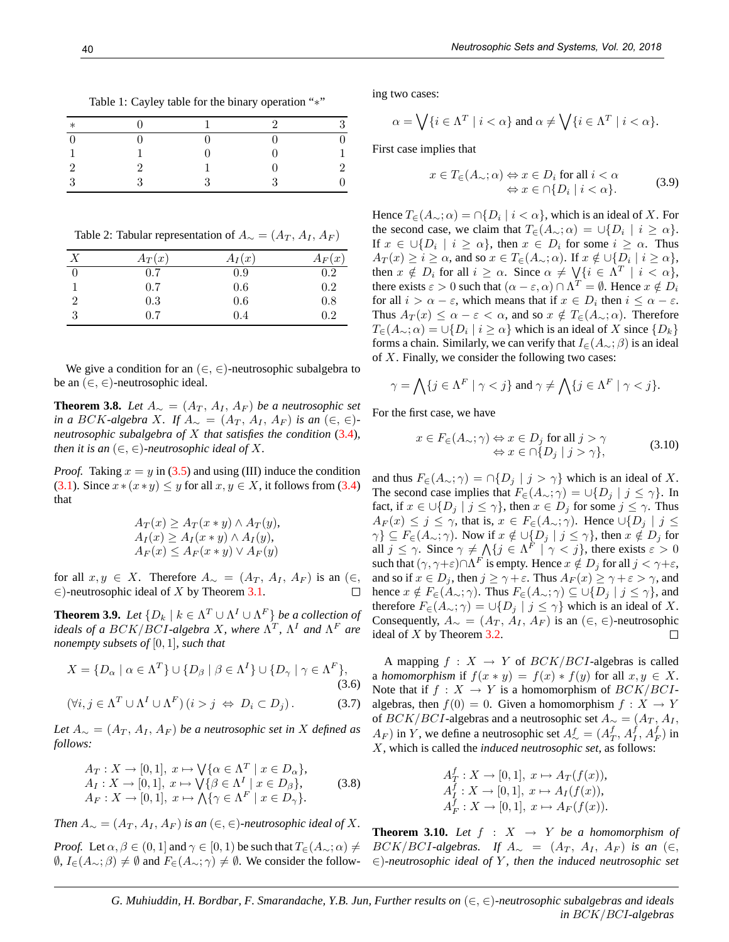| Table 1: Cayley table for the binary operation "*" |  |
|----------------------------------------------------|--|
|                                                    |  |

| $\ast$ |  | ಀ      |
|--------|--|--------|
|        |  |        |
|        |  |        |
|        |  | 2<br>− |
| ٬      |  | 0      |

Table 2: Tabular representation of  $A_{\sim} = (A_T, A_I, A_F)$ 

| X              | $A_T(x)$ | $A_I(x)$ | $A_F(x)$ |
|----------------|----------|----------|----------|
|                | 0.7      | 0.9      | 0.2      |
|                | 0.7      | 0.6      | 0.2      |
| $\overline{2}$ | 0.3      | 0.6      | 0.8      |
| 3              | 0.7      | 0.4      | 0.2      |

We give a condition for an  $(\in, \in)$ -neutrosophic subalgebra to be an  $(\in, \in)$ -neutrosophic ideal.

**Theorem 3.8.** *Let*  $A_∼ = (A_T, A_I, A_F)$  *be a neutrosophic set in a BCK*-algebra *X*. If  $A_{\sim} = (A_T, A_I, A_F)$  *is an*  $(\in, \in)$ *neutrosophic subalgebra of* X *that satisfies the condition* (3.4)*, then it is an*  $(\in, \in)$ *-neutrosophic ideal of X*.

*Proof.* Taking  $x = y$  in (3.5) and using (III) induce the condition (3.1). Since  $x*(x*y) \leq y$  for all  $x, y \in X$ , it follows from (3.4) that

$$
A_T(x) \ge A_T(x * y) \wedge A_T(y),
$$
  
\n
$$
A_I(x) \ge A_I(x * y) \wedge A_I(y),
$$
  
\n
$$
A_F(x) \le A_F(x * y) \vee A_F(y)
$$

for all  $x, y \in X$ . Therefore  $A_{\sim} = (A_T, A_I, A_F)$  is an  $(\in,$ ∈)-neutrosophic ideal of  $X$  by Theorem 3.1.

**Theorem 3.9.** Let  $\{D_k \mid k \in \Lambda^T \cup \Lambda^I \cup \Lambda^F\}$  be a collection of *ideals of a BCK/BCI-algebra X, where*  $\Lambda^T$ *,*  $\Lambda^I$  *and*  $\Lambda^F$  *are nonempty subsets of* [0, 1]*, such that*

$$
X = \{D_{\alpha} \mid \alpha \in \Lambda^T\} \cup \{D_{\beta} \mid \beta \in \Lambda^I\} \cup \{D_{\gamma} \mid \gamma \in \Lambda^F\},\tag{3.6}
$$
\n
$$
( \forall i, i \in \Lambda^T \cup \Lambda^I \cup \Lambda^F \setminus (i > i) \in D_i \subseteq D_i \}.
$$

$$
(\forall i, j \in \Lambda^T \cup \Lambda^I \cup \Lambda^F) (i > j \Leftrightarrow D_i \subset D_j).
$$
 (3.7)

*Let*  $A<sub>∼</sub> = (A<sub>T</sub>, A<sub>I</sub>, A<sub>F</sub>)$  *be a neutrosophic set in X defined as follows:*

$$
A_T: X \to [0,1], x \mapsto \bigvee \{ \alpha \in \Lambda^T \mid x \in D_\alpha \},
$$
  
\n
$$
A_I: X \to [0,1], x \mapsto \bigvee \{ \beta \in \Lambda^I \mid x \in D_\beta \},
$$
  
\n
$$
A_F: X \to [0,1], x \mapsto \bigwedge \{ \gamma \in \Lambda^F \mid x \in D_\gamma \}.
$$
\n(3.8)

*Then*  $A_{\sim} = (A_T, A_I, A_F)$  *is an*  $(\in, \in)$ -*neutrosophic ideal of* X.

*Proof.* Let  $\alpha, \beta \in (0, 1]$  and  $\gamma \in [0, 1)$  be such that  $T_{\epsilon}(A_{\sim}; \alpha) \neq 0$  $\emptyset, I_{\in}(A_{\sim};\beta) \neq \emptyset$  and  $F_{\in}(A_{\sim};\gamma) \neq \emptyset$ . We consider the following two cases:

$$
\alpha = \bigvee \{ i \in \Lambda^T \mid i < \alpha \} \text{ and } \alpha \neq \bigvee \{ i \in \Lambda^T \mid i < \alpha \}.
$$

First case implies that

$$
x \in T_{\in}(A_{\sim}; \alpha) \Leftrightarrow x \in D_i \text{ for all } i < \alpha
$$
  

$$
\Leftrightarrow x \in \cap \{D_i \mid i < \alpha\}.
$$
 (3.9)

Hence  $T_{\in}(A_{\sim}; \alpha) = \cap \{D_i \mid i < \alpha\}$ , which is an ideal of X. For the second case, we claim that  $T_{\in}(A_{\sim}; \alpha) = \cup \{D_i \mid i \geq \alpha\}.$ If  $x \in \bigcup \{D_i \mid i \ge \alpha\}$ , then  $x \in D_i$  for some  $i \ge \alpha$ . Thus  $A_T(x) \geq i \geq \alpha$ , and so  $x \in T_{\in}(A_{\sim}; \alpha)$ . If  $x \notin \cup \{D_i \mid i \geq \alpha\},$ then  $x \notin D_i$  for all  $i \ge \alpha$ . Since  $\alpha \ne \sqrt{i} \in \Lambda^T \mid i < \alpha$ , there exists  $\varepsilon > 0$  such that  $(\alpha - \varepsilon, \alpha) \cap \Lambda^T = \emptyset$ . Hence  $x \notin D_i$ for all  $i > \alpha - \varepsilon$ , which means that if  $x \in D_i$  then  $i \leq \alpha - \varepsilon$ . Thus  $A_T(x) \leq \alpha - \varepsilon < \alpha$ , and so  $x \notin T_{\varepsilon}(A_{\sim}; \alpha)$ . Therefore  $T_{\in}(A_{\sim};\alpha) = \cup \{D_i \mid i \geq \alpha\}$  which is an ideal of X since  $\{D_k\}$ forms a chain. Similarly, we can verify that  $I_{\epsilon}(A_{\sim};\beta)$  is an ideal of  $X$ . Finally, we consider the following two cases:

$$
\gamma = \bigwedge \{ j \in \Lambda^F \mid \gamma < j \} \text{ and } \gamma \neq \bigwedge \{ j \in \Lambda^F \mid \gamma < j \}.
$$

For the first case, we have

$$
x \in F_{\in}(A_{\sim}; \gamma) \Leftrightarrow x \in D_j \text{ for all } j > \gamma
$$
  

$$
\Leftrightarrow x \in \cap \{D_j \mid j > \gamma\},
$$
 (3.10)

and thus  $F_{\in}(A_{\sim}; \gamma) = \bigcap \{D_j \mid j > \gamma\}$  which is an ideal of X. The second case implies that  $F_{\epsilon}(A_{\sim}; \gamma) = \cup \{D_i \mid j \leq \gamma\}$ . In fact, if  $x \in \bigcup \{D_j \mid j \leq \gamma\}$ , then  $x \in D_j$  for some  $j \leq \gamma$ . Thus  $A_F(x) \leq j \leq \gamma$ , that is,  $x \in F_{\epsilon}(A_{\sim}; \gamma)$ . Hence  $\cup \{D_j \mid j \leq \gamma\}$  $\{\gamma\} \subseteq F_{\in}(A_{\sim}; \gamma)$ . Now if  $x \notin \cup \{D_j \mid j \leq \gamma\}$ , then  $x \notin D_j$  for all  $j \leq \gamma$ . Since  $\gamma \neq \bigwedge \{ j \in \Lambda^F \mid \gamma < j \}$ , there exists  $\varepsilon > 0$ such that  $(\gamma, \gamma + \varepsilon) \cap \Lambda^F$  is empty. Hence  $x \notin D_j$  for all  $j < \gamma + \varepsilon$ , and so if  $x \in D_j$ , then  $j \ge \gamma + \varepsilon$ . Thus  $A_F(x) \ge \gamma + \varepsilon > \gamma$ , and hence  $x \notin F_{\in}(A_{\sim}; \gamma)$ . Thus  $F_{\in}(A_{\sim}; \gamma) \subseteq \cup \{D_j \mid j \leq \gamma\}$ , and therefore  $F_{\in}(A_{\sim}; \gamma) = \cup \{D_j \mid j \leq \gamma\}$  which is an ideal of X. Consequently,  $A_{\sim} = (A_T, A_I, A_F)$  is an  $(\in, \in)$ -neutrosophic ideal of X by Theorem 3.2.  $\Box$ 

A mapping  $f : X \to Y$  of  $BCK/BCI$ -algebras is called a *homomorphism* if  $f(x * y) = f(x) * f(y)$  for all  $x, y \in X$ . Note that if  $f : X \to Y$  is a homomorphism of  $BCK/BCI$ algebras, then  $f(0) = 0$ . Given a homomorphism  $f : X \to Y$ of  $BCK/BCI$ -algebras and a neutrosophic set  $A_{\sim} = (A_T, A_I, A_{\sim})$  $(A_F)$  in Y, we define a neutrosophic set  $A^f_{\sim} = (A^f_T, A^f_I, A^f_F)$  in X, which is called the *induced neutrosophic set*, as follows:

$$
A_I^f: X \to [0, 1], x \mapsto A_T(f(x)),
$$
  
\n
$$
A_I^f: X \to [0, 1], x \mapsto A_I(f(x)),
$$
  
\n
$$
A_F^f: X \to [0, 1], x \mapsto A_F(f(x)).
$$

**Theorem 3.10.** Let  $f : X \rightarrow Y$  be a homomorphism of  $BCK/BCI$ -algebras. If  $A_{\sim} = (A_T, A_I, A_F)$  *is an* (∈, ∈)*-neutrosophic ideal of* Y *, then the induced neutrosophic set*

*G. Muhiuddin, H. Bordbar, F. Smarandache, Y.B. Jun, Further results on* (∈, ∈)*-neutrosophic subalgebras and ideals in* BCK/BCI*-algebras*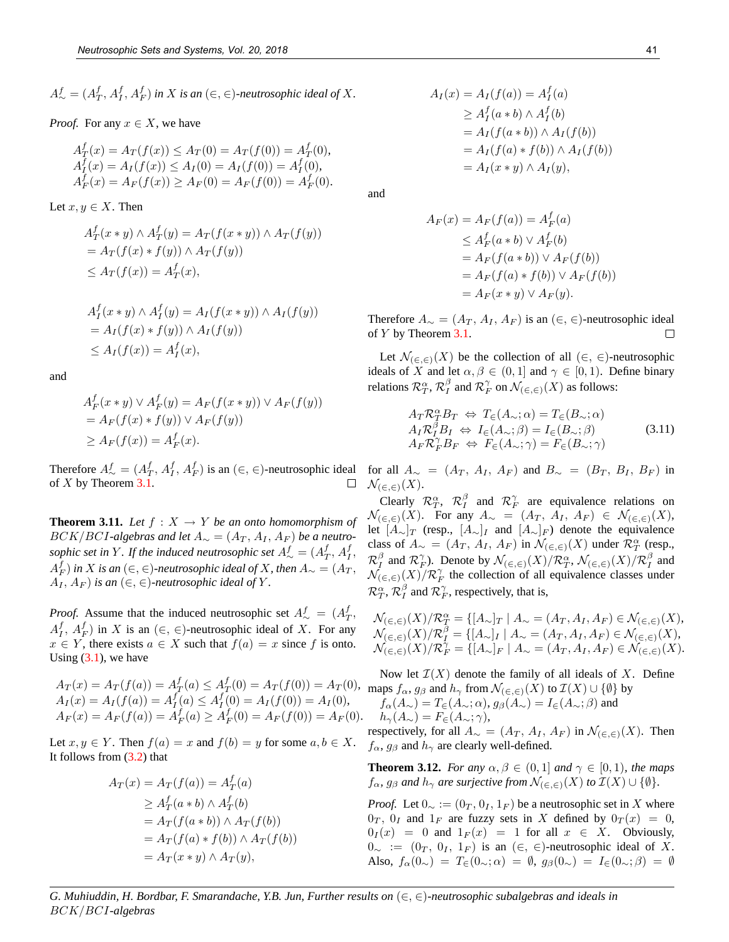$A^f_{\sim} = (A^f_T, A^f_I, A^f_F)$  in X is an  $(\in, \in)$ -neutrosophic ideal of X.

#### *Proof.* For any  $x \in X$ , we have

$$
A_T^f(x) = A_T(f(x)) \le A_T(0) = A_T(f(0)) = A_T^f(0),
$$
  
\n
$$
A_T^f(x) = A_I(f(x)) \le A_I(0) = A_I(f(0)) = A_T^f(0),
$$
  
\n
$$
A_F^f(x) = A_F(f(x)) \ge A_F(0) = A_F(f(0)) = A_F^f(0).
$$

Let  $x, y \in X$ . Then

$$
A_T^f(x * y) \wedge A_T^f(y) = A_T(f(x * y)) \wedge A_T(f(y))
$$
  
=  $A_T(f(x) * f(y)) \wedge A_T(f(y))$   
 $\leq A_T(f(x)) = A_T^f(x),$ 

$$
A_I^f(x * y) \wedge A_I^f(y) = A_I(f(x * y)) \wedge A_I(f(y))
$$
  
=  $A_I(f(x) * f(y)) \wedge A_I(f(y))$   
 $\leq A_I(f(x)) = A_I^f(x),$ 

and

$$
A_F^f(x * y) \lor A_F^f(y) = A_F(f(x * y)) \lor A_F(f(y))
$$
  
=  $A_F(f(x) * f(y)) \lor A_F(f(y))$   
 $\geq A_F(f(x)) = A_F^f(x).$ 

Therefore  $A^f_{\sim} = (A^f_T, A^f_I, A^f_F)$  is an  $(\in, \in)$ -neutrosophic ideal of X by Theorem 3.1.  $\Box$ 

**Theorem 3.11.** *Let*  $f : X \to Y$  *be an onto homomorphism of*  $BCK/BCI$ -algebras and let  $A_{\sim} = (A_T, A_I, A_F)$  be a neutrosophic set in Y  $M$  *If the induced neutrosophic set*  $A^f_\sim = (A^f_T, A^f_I, A^f_I)$  $A_{F}^{f}$ ) in  $X$  is an  $(\in, \in)$ -neutrosophic ideal of  $X$ , then  $A_{\sim} = (A_{T},$  $A_I, A_F$  *is an* ( $\in$ ,  $\in$ )-neutrosophic ideal of Y.

*Proof.* Assume that the induced neutrosophic set  $A^f_{\sim} = (A^f_T, A^f_T)$  $A_I^f$ ,  $A_F^f$ ) in X is an  $(\in, \in)$ -neutrosophic ideal of X. For any  $x \in Y$ , there exists  $a \in X$  such that  $f(a) = x$  since f is onto. Using  $(3.1)$ , we have

$$
A_T(x) = A_T(f(a)) = A_T^f(a) \le A_T^f(0) = A_T(f(0)) = A_T(0),
$$
  
\n
$$
A_I(x) = A_I(f(a)) = A_I^f(a) \le A_I^f(0) = A_I(f(0)) = A_I(0),
$$
  
\n
$$
A_F(x) = A_F(f(a)) = A_F^f(a) \ge A_F^f(0) = A_F(f(0)) = A_F(0).
$$

Let  $x, y \in Y$ . Then  $f(a) = x$  and  $f(b) = y$  for some  $a, b \in X$ . It follows from (3.2) that

$$
A_T(x) = A_T(f(a)) = A_T^f(a)
$$
  
\n
$$
\ge A_T^f(a * b) \wedge A_T^f(b)
$$
  
\n
$$
= A_T(f(a * b)) \wedge A_T(f(b))
$$
  
\n
$$
= A_T(f(a) * f(b)) \wedge A_T(f(b))
$$
  
\n
$$
= A_T(x * y) \wedge A_T(y),
$$

$$
A_I(x) = A_I(f(a)) = A_I^f(a)
$$
  
\n
$$
\ge A_I^f(a * b) \wedge A_I^f(b)
$$
  
\n
$$
= A_I(f(a * b)) \wedge A_I(f(b))
$$
  
\n
$$
= A_I(f(a) * f(b)) \wedge A_I(f(b))
$$
  
\n
$$
= A_I(x * y) \wedge A_I(y),
$$

and

$$
A_F(x) = A_F(f(a)) = A_F^f(a)
$$
  
\n
$$
\leq A_F^f(a * b) \lor A_F^f(b)
$$
  
\n
$$
= A_F(f(a * b)) \lor A_F(f(b))
$$
  
\n
$$
= A_F(f(a) * f(b)) \lor A_F(f(b))
$$
  
\n
$$
= A_F(x * y) \lor A_F(y).
$$

Therefore  $A_{\sim} = (A_T, A_I, A_F)$  is an  $(\in, \in)$ -neutrosophic ideal of Y by Theorem 3.1.  $\Box$ 

Let  $\mathcal{N}_{(\infty,\infty)}(X)$  be the collection of all  $(\infty,\infty)$ -neutrosophic ideals of X and let  $\alpha, \beta \in (0, 1]$  and  $\gamma \in [0, 1)$ . Define binary relations  $\mathcal{R}_T^{\alpha}, \mathcal{R}_I^{\beta}$  and  $\mathcal{R}_F^{\gamma}$  on  $\mathcal{N}_{(\in, \in)}(X)$  as follows:

$$
A_T \mathcal{R}_T^{\alpha} B_T \Leftrightarrow T_{\in}(A_{\sim}; \alpha) = T_{\in}(B_{\sim}; \alpha)
$$
  
\n
$$
A_T \mathcal{R}_T^{\beta} B_I \Leftrightarrow I_{\in}(A_{\sim}; \beta) = I_{\in}(B_{\sim}; \beta)
$$
  
\n
$$
A_F \mathcal{R}_F^{\gamma} B_F \Leftrightarrow F_{\in}(A_{\sim}; \gamma) = F_{\in}(B_{\sim}; \gamma)
$$
\n(3.11)

for all  $A_{\sim} = (A_T, A_I, A_F)$  and  $B_{\sim} = (B_T, B_I, B_F)$  in  $\mathcal{N}_{(\infty,\infty)}(X).$ 

Clearly  $\mathcal{R}_T^{\alpha}$ ,  $\mathcal{R}_I^{\beta}$  and  $\mathcal{R}_F^{\gamma}$  are equivalence relations on  $\mathcal{N}_{(\in,\infty)}(X)$ . For any  $A_{\sim} = (A_T, A_I, A_F) \in \mathcal{N}_{(\in,\infty)}(X)$ , let  $[A_{\sim}]_T$  (resp.,  $[A_{\sim}]_I$  and  $[A_{\sim}]_F$ ) denote the equivalence class of  $A_{\sim} = (A_T, A_I, A_F)$  in  $\mathcal{N}_{(\in, \in)}(X)$  under  $\mathcal{R}_T^{\alpha}$  (resp.,  $\mathcal{R}^{\beta}_I$  and  $\mathcal{R}^{\gamma}_F$ ). Denote by  $\mathcal{N}_{(\in,\infty)}(X)/\mathcal{R}^{\alpha}_T$ ,  $\mathcal{N}_{(\in,\infty)}(X)/\mathcal{R}^{\beta}_I$  and  $\mathcal{N}_{(\epsilon,\epsilon)}(X)/\mathcal{R}_F^{\gamma}$  the collection of all equivalence classes under  $\mathcal{R}_T^{\alpha}$ ,  $\mathcal{R}_I^{\beta}$  and  $\mathcal{R}_F^{\gamma}$ , respectively, that is,

$$
\begin{array}{l} \mathcal{N}_{(\in, \infty)}(X)/\mathcal{R}^{\alpha}_{T}=\{[A_{\sim}]_{T}\mid A_{\sim}=(A_{T}, A_{I}, A_{F})\in \mathcal{N}_{(\in, \infty)}(X),\\ \mathcal{N}_{(\in, \infty)}(X)/\mathcal{R}^{\beta}_{I}=\{[A_{\sim}]_{I}\mid A_{\sim}=(A_{T}, A_{I}, A_{F})\in \mathcal{N}_{(\in, \infty)}(X),\\ \mathcal{N}_{(\in, \infty)}(X)/\mathcal{R}^{\gamma}_{F}=\{[A_{\sim}]_{F}\mid A_{\sim}=(A_{T}, A_{I}, A_{F})\in \mathcal{N}_{(\in, \infty)}(X).\end{array}
$$

Now let  $\mathcal{I}(X)$  denote the family of all ideals of X. Define maps  $f_{\alpha}$ ,  $g_{\beta}$  and  $h_{\gamma}$  from  $\mathcal{N}_{(\epsilon,\epsilon)}(X)$  to  $\mathcal{I}(X) \cup \{\emptyset\}$  by  $f_{\alpha}(A_{\sim}) = T_{\in}(A_{\sim}; \alpha), g_{\beta}(A_{\sim}) = I_{\in}(A_{\sim}; \beta)$  and  $h_{\gamma}(A_{\sim}) = F_{\in}(A_{\sim}; \gamma),$ 

respectively, for all  $A_{\sim} = (A_T, A_I, A_F)$  in  $\mathcal{N}_{(\in, \in)}(X)$ . Then  $f_{\alpha}$ ,  $g_{\beta}$  and  $h_{\gamma}$  are clearly well-defined.

**Theorem 3.12.** *For any*  $\alpha, \beta \in (0, 1]$  *and*  $\gamma \in [0, 1]$ *, the maps*  $f_{\alpha}$ *,*  $g_{\beta}$  *and*  $h_{\gamma}$  *are surjective from*  $\mathcal{N}_{(\epsilon,\epsilon)}(X)$  *to*  $\mathcal{I}(X) \cup \{\emptyset\}.$ 

*Proof.* Let  $0_{\sim} := (0_T, 0_I, 1_F)$  be a neutrosophic set in X where  $0_T$ ,  $0_I$  and  $1_F$  are fuzzy sets in X defined by  $0_T(x) = 0$ ,  $0_I(x) = 0$  and  $1_F(x) = 1$  for all  $x \in X$ . Obviously,  $0_{\sim} := (0_T, 0_I, 1_F)$  is an  $(\in, \in)$ -neutrosophic ideal of X. Also,  $f_\alpha(0_\n\in) = T_\n\in (0_\n\infty;\alpha) = \emptyset$ ,  $g_\beta(0_\n\in) = I_\n\in (0_\n\infty;\beta) = \emptyset$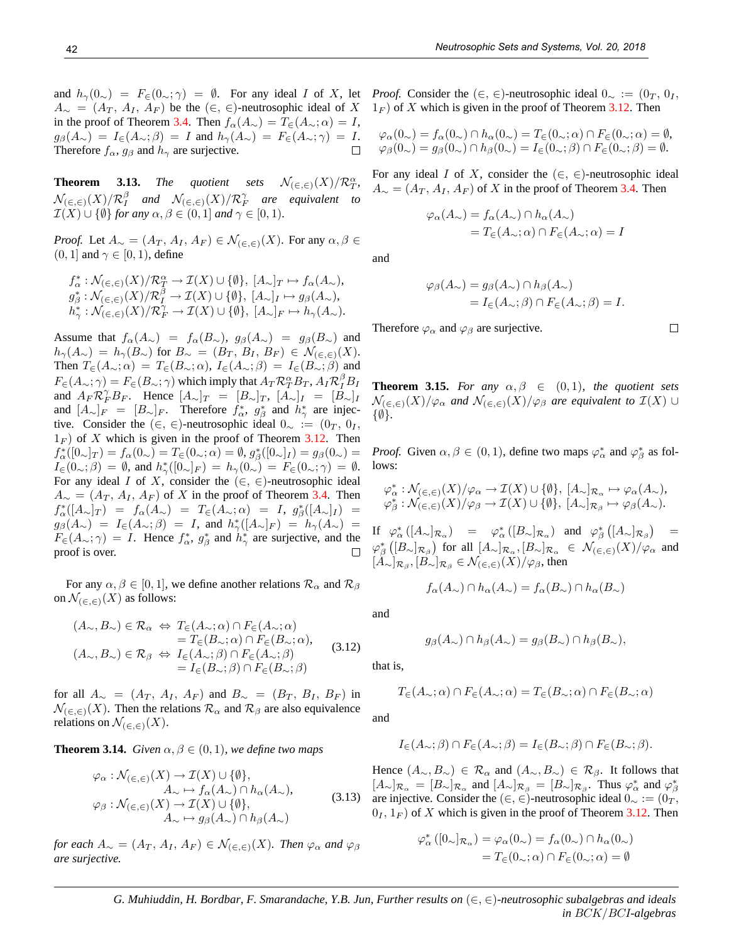**Theorem 3.13.** *The quotient sets*  $\mathcal{N}_{(\infty,\infty)}(X)/\mathcal{R}_T^{\alpha}$ ,  $\mathcal{N}_{(\in, \infty)}(X)/\mathcal{R}^{\beta}_I$  and  $\mathcal{N}_{(\in, \infty)}(X)/\mathcal{R}^{\gamma}_F$  are equivalent to  $\mathcal{I}(X) \cup \{\emptyset\}$  for any  $\alpha, \beta \in (0, 1]$  and  $\gamma \in [0, 1)$ .

*Proof.* Let  $A_{\sim} = (A_T, A_I, A_F) \in \mathcal{N}_{(\in, \infty)}(X)$ . For any  $\alpha, \beta \in$  $(0, 1]$  and  $\gamma \in [0, 1)$ , define

$$
\begin{array}{l} f_{\alpha}^* : \mathcal{N}_{(\in, \infty)}(X)/\mathcal{R}_T^{\alpha} \to \mathcal{I}(X) \cup \{\emptyset\}, [A_{\sim}]_T \mapsto f_{\alpha}(A_{\sim}),\\ g_{\beta}^* : \mathcal{N}_{(\in, \infty)}(X)/\mathcal{R}_I^{\beta} \to \mathcal{I}(X) \cup \{\emptyset\}, [A_{\sim}]_I \mapsto g_{\beta}(A_{\sim}),\\ h_{\gamma}^* : \mathcal{N}_{(\in, \infty)}(X)/\mathcal{R}_F^{\gamma} \to \mathcal{I}(X) \cup \{\emptyset\}, [A_{\sim}]_F \mapsto h_{\gamma}(A_{\sim}).\end{array}
$$

Assume that  $f_{\alpha}(A_{\sim}) = f_{\alpha}(B_{\sim}), g_{\beta}(A_{\sim}) = g_{\beta}(B_{\sim})$  and  $h_{\gamma}(A_{\sim}) = h_{\gamma}(B_{\sim})$  for  $B_{\sim} = (B_T, B_I, B_F) \in \mathcal{N}_{(\in, \in)}(X)$ . Then  $T_{\in}(A_{\sim};\alpha) = T_{\in}(B_{\sim};\alpha), I_{\in}(A_{\sim};\beta) = I_{\in}(B_{\sim};\beta)$  and  $F_{\in}(A_{\sim};\gamma) = F_{\in}(B_{\sim};\gamma)$  which imply that  $A_T \mathcal{R}^{\alpha}_T B_T$ ,  $A_I \mathcal{R}^{\beta}_I B_I$ and  $A_F \mathcal{R}_F^{\gamma} B_F$ . Hence  $[A_{\sim}]_T = [B_{\sim}]_T$ ,  $[A_{\sim}]_I = [B_{\sim}]_I$ and  $[A_{\sim}]_F = [B_{\sim}]_F$ . Therefore  $f_{\alpha}^*$ ,  $g_{\beta}^*$  and  $h_{\gamma}^*$  are injective. Consider the (∈, ∈)-neutrosophic ideal  $0_{\sim} := (0_T, 0_I, 0_I)$  $1_F$ ) of X which is given in the proof of Theorem 3.12. Then  $f^*_{\alpha}([0_{\sim}]_T) = f_{\alpha}(0_{\sim}) = T_{\infty}(0_{\sim}; \alpha) = \emptyset, g^*_{\beta}([0_{\sim}]_I) = g_{\beta}(0_{\sim}) =$  $I_{\in}(0_{\sim};\beta) = \emptyset$ , and  $h_{\gamma}^{*}([0_{\sim}]_F) = h_{\gamma}(0_{\sim}) = F_{\in}(0_{\sim};\gamma) = \emptyset$ . For any ideal I of X, consider the  $(\in, \in)$ -neutrosophic ideal  $A_{\sim} = (A_T, A_I, A_F)$  of X in the proof of Theorem 3.4. Then  $f_\alpha^*([A_\sim]_T) = f_\alpha(A_\sim) = T_\in(A_\sim;\alpha) = I, g_\beta^*([A_\sim]_I) =$  $g_{\beta}(A_{\sim}) = I_{\in}(A_{\sim};\beta) = I$ , and  $h_{\gamma}^{*}([A_{\sim}]_F) = h_{\gamma}(A_{\sim}) =$  $F_{\epsilon}(A_{\sim};\gamma) = I$ . Hence  $f_{\alpha}^*$ ,  $g_{\beta}^*$  and  $h_{\gamma}^*$  are surjective, and the  $\Box$ proof is over.

For any  $\alpha, \beta \in [0, 1]$ , we define another relations  $\mathcal{R}_{\alpha}$  and  $\mathcal{R}_{\beta}$ on  $\mathcal{N}_{(\infty,\infty)}(X)$  as follows:

$$
(A_{\sim}, B_{\sim}) \in \mathcal{R}_{\alpha} \Leftrightarrow T_{\in}(A_{\sim}; \alpha) \cap F_{\in}(A_{\sim}; \alpha)
$$
  
=  $T_{\in}(B_{\sim}; \alpha) \cap F_{\in}(B_{\sim}; \alpha)$ ,  

$$
(A_{\sim}, B_{\sim}) \in \mathcal{R}_{\beta} \Leftrightarrow I_{\in}(A_{\sim}; \beta) \cap F_{\in}(A_{\sim}; \beta)
$$
  
=  $I_{\in}(B_{\sim}; \beta) \cap F_{\in}(B_{\sim}; \beta)$  (3.12)

for all  $A_{\sim}$  =  $(A_T, A_I, A_F)$  and  $B_{\sim}$  =  $(B_T, B_I, B_F)$  in  $\mathcal{N}_{(\epsilon,\epsilon)}(X)$ . Then the relations  $\mathcal{R}_{\alpha}$  and  $\mathcal{R}_{\beta}$  are also equivalence relations on  $\mathcal{N}_{(\infty,\infty)}(X)$ .

**Theorem 3.14.** *Given*  $\alpha, \beta \in (0, 1)$ *, we define two maps* 

$$
\varphi_{\alpha}: \mathcal{N}_{(\in, \in)}(X) \to \mathcal{I}(X) \cup \{\emptyset\}, \nA_{\sim} \mapsto f_{\alpha}(A_{\sim}) \cap h_{\alpha}(A_{\sim}), \n\varphi_{\beta}: \mathcal{N}_{(\in, \in)}(X) \to \mathcal{I}(X) \cup \{\emptyset\}, \nA_{\sim} \mapsto g_{\beta}(A_{\sim}) \cap h_{\beta}(A_{\sim})
$$
\n(3.13)

*for each*  $A_{\sim} = (A_T, A_I, A_F) \in \mathcal{N}_{(\in, \in)}(X)$ *. Then*  $\varphi_{\alpha}$  *and*  $\varphi_{\beta}$ *are surjective.*

*Proof.* Consider the  $(\in, \in)$ -neutrosophic ideal  $0_{\sim} := (0_T, 0_T, 0_T)$  $1_F$ ) of X which is given in the proof of Theorem 3.12. Then

$$
\varphi_{\alpha}(0_{\sim}) = f_{\alpha}(0_{\sim}) \cap h_{\alpha}(0_{\sim}) = T_{\in}(0_{\sim}; \alpha) \cap F_{\in}(0_{\sim}; \alpha) = \emptyset,
$$
  

$$
\varphi_{\beta}(0_{\sim}) = g_{\beta}(0_{\sim}) \cap h_{\beta}(0_{\sim}) = I_{\in}(0_{\sim}; \beta) \cap F_{\in}(0_{\sim}; \beta) = \emptyset.
$$

For any ideal I of X, consider the  $(\in, \in)$ -neutrosophic ideal  $A_{\sim} = (A_T, A_I, A_F)$  of X in the proof of Theorem 3.4. Then

$$
\varphi_{\alpha}(A_{\sim}) = f_{\alpha}(A_{\sim}) \cap h_{\alpha}(A_{\sim})
$$
  
=  $T_{\in}(A_{\sim}; \alpha) \cap F_{\in}(A_{\sim}; \alpha) = I$ 

and

$$
\varphi_{\beta}(A_{\sim}) = g_{\beta}(A_{\sim}) \cap h_{\beta}(A_{\sim})
$$
  
=  $I_{\in}(A_{\sim}; \beta) \cap F_{\in}(A_{\sim}; \beta) = I.$ 

Therefore  $\varphi_{\alpha}$  and  $\varphi_{\beta}$  are surjective.

**Theorem 3.15.** *For any*  $\alpha, \beta \in (0, 1)$ *, the quotient sets*  $\mathcal{N}_{(\infty,\infty)}(X)/\varphi_{\alpha}$  and  $\mathcal{N}_{(\infty,\infty)}(X)/\varphi_{\beta}$  are equivalent to  $\mathcal{I}(X) \cup$ {∅}*.*

*Proof.* Given  $\alpha, \beta \in (0, 1)$ , define two maps  $\varphi_{\alpha}^*$  and  $\varphi_{\beta}^*$  as follows:

$$
\varphi_{\alpha}^* : \mathcal{N}_{(\in, \in)}(X)/\varphi_{\alpha} \to \mathcal{I}(X) \cup \{\emptyset\}, [A_{\sim}]_{\mathcal{R}_{\alpha}} \mapsto \varphi_{\alpha}(A_{\sim}),
$$
  

$$
\varphi_{\beta}^* : \mathcal{N}_{(\in, \in)}(X)/\varphi_{\beta} \to \mathcal{I}(X) \cup \{\emptyset\}, [A_{\sim}]_{\mathcal{R}_{\beta}} \mapsto \varphi_{\beta}(A_{\sim}).
$$

If  $\varphi^*_{\alpha}([A_{\sim}]_{\mathcal{R}_{\alpha}}) = \varphi^*_{\alpha}([B_{\sim}]_{\mathcal{R}_{\alpha}})$  and  $\varphi^*_{\beta}([A_{\sim}]_{\mathcal{R}_{\beta}}) =$  $\varphi^*_{\beta}\left([B_{\sim}]_{\mathcal{R}_\beta}\right)$  for all  $[A_{\sim}]_{\mathcal{R}_\alpha},[B_{\sim}]_{\mathcal{R}_\alpha} \in \mathcal{N}_{(\in,\in)}(X)/\varphi_\alpha$  and  $[A_{\sim}]_{\mathcal{R}_{\beta}}, [B_{\sim}]_{\mathcal{R}_{\beta}} \in \mathcal{N}_{(\in, \in)}(X)/\varphi_{\beta}$ , then

$$
f_{\alpha}(A_{\sim}) \cap h_{\alpha}(A_{\sim}) = f_{\alpha}(B_{\sim}) \cap h_{\alpha}(B_{\sim})
$$

and

$$
g_{\beta}(A_{\sim}) \cap h_{\beta}(A_{\sim}) = g_{\beta}(B_{\sim}) \cap h_{\beta}(B_{\sim})
$$

that is,

$$
T_{\in}(A_{\sim};\alpha) \cap F_{\in}(A_{\sim};\alpha) = T_{\in}(B_{\sim};\alpha) \cap F_{\in}(B_{\sim};\alpha)
$$

and

$$
I_{\in}(A_{\sim};\beta) \cap F_{\in}(A_{\sim};\beta) = I_{\in}(B_{\sim};\beta) \cap F_{\in}(B_{\sim};\beta).
$$

Hence  $(A_{\sim}, B_{\sim}) \in \mathcal{R}_{\alpha}$  and  $(A_{\sim}, B_{\sim}) \in \mathcal{R}_{\beta}$ . It follows that  $[A_\sim]_{\mathcal{R}_\alpha} = [B_\sim]_{\mathcal{R}_\alpha}$  and  $[A_\sim]_{\mathcal{R}_\beta} = [B_\sim]_{\mathcal{R}_\beta}$ . Thus  $\varphi_\alpha^*$  and  $\varphi_\beta^*$ are injective. Consider the (∈, ∈)-neutrosophic ideal  $0_{\sim} := (0_T, \cdot)$  $0<sub>I</sub>, 1<sub>F</sub>$  of X which is given in the proof of Theorem 3.12. Then

$$
\varphi_{\alpha}^* ([0_{\sim}]_{\mathcal{R}_{\alpha}}) = \varphi_{\alpha}(0_{\sim}) = f_{\alpha}(0_{\sim}) \cap h_{\alpha}(0_{\sim})
$$

$$
= T_{\in}(0_{\sim}; \alpha) \cap F_{\in}(0_{\sim}; \alpha) = \emptyset
$$

*G. Muhiuddin, H. Bordbar, F. Smarandache, Y.B. Jun, Further results on* (∈, ∈)*-neutrosophic subalgebras and ideals in* BCK/BCI*-algebras*

 $\Box$